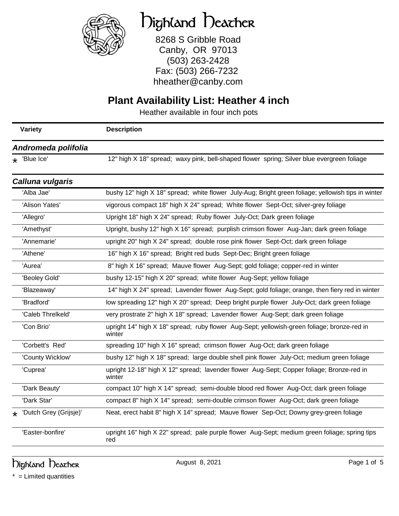

# Highland Heather

8268 S Gribble Road Canby, OR 97013 (503) 263-2428 Fax: (503) 266-7232 hheather@canby.com

#### **Plant Availability List: Heather 4 inch**

Heather available in four inch pots

|                     | Variety                 | <b>Description</b>                                                                                    |
|---------------------|-------------------------|-------------------------------------------------------------------------------------------------------|
| Andromeda polifolia |                         |                                                                                                       |
|                     | $\star$ 'Blue Ice'      | 12" high X 18" spread; waxy pink, bell-shaped flower spring; Silver blue evergreen foliage            |
|                     | <b>Calluna vulgaris</b> |                                                                                                       |
|                     | 'Alba Jae'              | bushy 12" high X 18" spread; white flower July-Aug; Bright green foliage; yellowish tips in winter    |
|                     | 'Alison Yates'          | vigorous compact 18" high X 24" spread; White flower Sept-Oct; silver-grey foliage                    |
|                     | 'Allegro'               | Upright 18" high X 24" spread; Ruby flower July-Oct; Dark green foliage                               |
|                     | 'Amethyst'              | Upright, bushy 12" high X 16" spread; purplish crimson flower Aug-Jan; dark green foliage             |
|                     | 'Annemarie'             | upright 20" high X 24" spread; double rose pink flower Sept-Oct; dark green foliage                   |
|                     | 'Athene'                | 16" high X 16" spread; Bright red buds Sept-Dec; Bright green foliage                                 |
|                     | 'Aurea'                 | 8" high X 16" spread; Mauve flower Aug-Sept; gold foliage; copper-red in winter                       |
|                     | 'Beoley Gold'           | bushy 12-15" high X 20" spread; white flower Aug-Sept; yellow foliage                                 |
|                     | 'Blazeaway'             | 14" high X 24" spread; Lavender flower Aug-Sept; gold foliage; orange, then fiery red in winter       |
|                     | 'Bradford'              | low spreading 12" high X 20" spread; Deep bright purple flower July-Oct; dark green foliage           |
|                     | 'Caleb Threlkeld'       | very prostrate 2" high X 18" spread; Lavender flower Aug-Sept; dark green foliage                     |
|                     | 'Con Brio'              | upright 14" high X 18" spread; ruby flower Aug-Sept; yellowish-green foliage; bronze-red in<br>winter |
|                     | 'Corbett's Red'         | spreading 10" high X 16" spread; crimson flower Aug-Oct; dark green foliage                           |
|                     | 'County Wicklow'        | bushy 12" high X 18" spread; large double shell pink flower July-Oct; medium green foliage            |
|                     | 'Cuprea'                | upright 12-18" high X 12" spread; lavender flower Aug-Sept; Copper foliage; Bronze-red in<br>winter   |
|                     | 'Dark Beauty'           | compact 10" high X 14" spread; semi-double blood red flower Aug-Oct; dark green foliage               |
|                     | 'Dark Star'             | compact 8" high X 14" spread; semi-double crimson flower Aug-Oct; dark green foliage                  |
| $\star$             | 'Dutch Grey (Grijsje)'  | Neat, erect habit 8" high X 14" spread; Mauve flower Sep-Oct; Downy grey-green foliage                |
|                     | 'Easter-bonfire'        | upright 16" high X 22" spread; pale purple flower Aug-Sept; medium green foliage; spring tips<br>red  |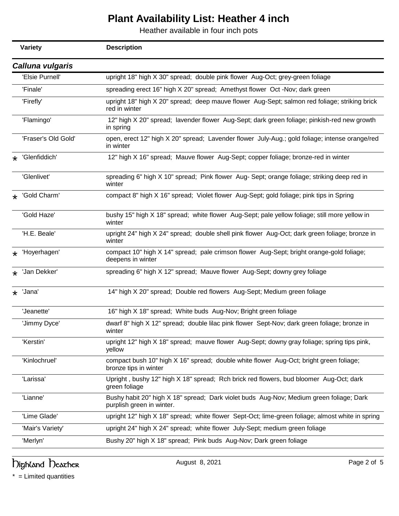Heather available in four inch pots

|         | <b>Variety</b>          | <b>Description</b>                                                                                                   |
|---------|-------------------------|----------------------------------------------------------------------------------------------------------------------|
|         | <b>Calluna vulgaris</b> |                                                                                                                      |
|         | 'Elsie Purnell'         | upright 18" high X 30" spread; double pink flower Aug-Oct; grey-green foliage                                        |
|         | 'Finale'                | spreading erect 16" high X 20" spread; Amethyst flower Oct -Nov; dark green                                          |
|         | 'Firefly'               | upright 18" high X 20" spread; deep mauve flower Aug-Sept; salmon red foliage; striking brick<br>red in winter       |
|         | 'Flamingo'              | 12" high X 20" spread; lavender flower Aug-Sept; dark green foliage; pinkish-red new growth<br>in spring             |
|         | 'Fraser's Old Gold'     | open, erect 12" high X 20" spread; Lavender flower July-Aug.; gold foliage; intense orange/red<br>in winter          |
| $\star$ | 'Glenfiddich'           | 12" high X 16" spread; Mauve flower Aug-Sept; copper foliage; bronze-red in winter                                   |
|         | 'Glenlivet'             | spreading 6" high X 10" spread; Pink flower Aug- Sept; orange foliage; striking deep red in<br>winter                |
| $\star$ | 'Gold Charm'            | compact 8" high X 16" spread; Violet flower Aug-Sept; gold foliage; pink tips in Spring                              |
|         | 'Gold Haze'             | bushy 15" high X 18" spread; white flower Aug-Sept; pale yellow foliage; still more yellow in<br>winter              |
|         | 'H.E. Beale'            | upright 24" high X 24" spread; double shell pink flower Aug-Oct; dark green foliage; bronze in<br>winter             |
| $\star$ | 'Hoyerhagen'            | compact 10" high X 14" spread; pale crimson flower Aug-Sept; bright orange-gold foliage;<br>deepens in winter        |
| $\star$ | 'Jan Dekker'            | spreading 6" high X 12" spread; Mauve flower Aug-Sept; downy grey foliage                                            |
|         | $\star$ 'Jana'          | 14" high X 20" spread; Double red flowers Aug-Sept; Medium green foliage                                             |
|         | 'Jeanette'              | 16" high X 18" spread; White buds Aug-Nov; Bright green foliage                                                      |
|         | 'Jimmy Dyce'            | dwarf 8" high X 12" spread; double lilac pink flower Sept-Nov; dark green foliage; bronze in<br>winter               |
|         | 'Kerstin'               | upright 12" high X 18" spread; mauve flower Aug-Sept; downy gray foliage; spring tips pink,<br>yellow                |
|         | 'Kinlochruel'           | compact bush 10" high X 16" spread; double white flower Aug-Oct; bright green foliage;<br>bronze tips in winter      |
|         | 'Larissa'               | Upright, bushy 12" high X 18" spread; Rch brick red flowers, bud bloomer Aug-Oct; dark<br>green foliage              |
|         | 'Lianne'                | Bushy habit 20" high X 18" spread; Dark violet buds Aug-Nov; Medium green foliage; Dark<br>purplish green in winter. |
|         | 'Lime Glade'            | upright 12" high X 18" spread; white flower Sept-Oct; lime-green foliage; almost white in spring                     |
|         | 'Mair's Variety'        | upright 24" high X 24" spread; white flower July-Sept; medium green foliage                                          |
|         | 'Merlyn'                | Bushy 20" high X 18" spread; Pink buds Aug-Nov; Dark green foliage                                                   |

### highland Deather **August 8, 2021** August 8, 2021 Page 2 of 5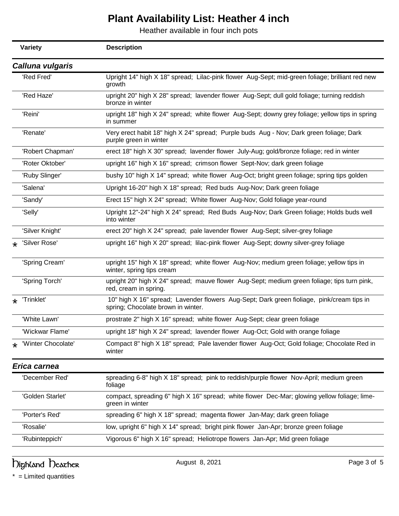Heather available in four inch pots

|         | <b>Variety</b>     | <b>Description</b>                                                                                                              |
|---------|--------------------|---------------------------------------------------------------------------------------------------------------------------------|
|         | Calluna vulgaris   |                                                                                                                                 |
|         | 'Red Fred'         | Upright 14" high X 18" spread; Lilac-pink flower Aug-Sept; mid-green foliage; brilliant red new<br>growth                       |
|         | 'Red Haze'         | upright 20" high X 28" spread; lavender flower Aug-Sept; dull gold foliage; turning reddish<br>bronze in winter                 |
|         | 'Reini'            | upright 18" high X 24" spread; white flower Aug-Sept; downy grey foliage; yellow tips in spring<br>in summer                    |
|         | 'Renate'           | Very erect habit 18" high X 24" spread; Purple buds Aug - Nov; Dark green foliage; Dark<br>purple green in winter               |
|         | 'Robert Chapman'   | erect 18" high X 30" spread; lavender flower July-Aug; gold/bronze foliage; red in winter                                       |
|         | 'Roter Oktober'    | upright 16" high X 16" spread; crimson flower Sept-Nov; dark green foliage                                                      |
|         | 'Ruby Slinger'     | bushy 10" high X 14" spread; white flower Aug-Oct; bright green foliage; spring tips golden                                     |
|         | 'Salena'           | Upright 16-20" high X 18" spread; Red buds Aug-Nov; Dark green foliage                                                          |
|         | 'Sandy'            | Erect 15" high X 24" spread; White flower Aug-Nov; Gold foliage year-round                                                      |
|         | 'Selly'            | Upright 12"-24" high X 24" spread; Red Buds Aug-Nov; Dark Green foliage; Holds buds well<br>into winter                         |
|         | 'Silver Knight'    | erect 20" high X 24" spread; pale lavender flower Aug-Sept; silver-grey foliage                                                 |
| $\star$ | 'Silver Rose'      | upright 16" high X 20" spread; lilac-pink flower Aug-Sept; downy silver-grey foliage                                            |
|         | 'Spring Cream'     | upright 15" high X 18" spread; white flower Aug-Nov; medium green foliage; yellow tips in<br>winter, spring tips cream          |
|         | 'Spring Torch'     | upright 20" high X 24" spread; mauve flower Aug-Sept; medium green foliage; tips turn pink,<br>red, cream in spring.            |
| $\star$ | 'Trinklet'         | 10" high X 16" spread; Lavender flowers Aug-Sept; Dark green fioliage, pink/cream tips in<br>spring; Chocolate brown in winter. |
|         | 'White Lawn'       | prostrate 2" high X 16" spread; white flower Aug-Sept; clear green foliage                                                      |
|         | 'Wickwar Flame'    | upright 18" high X 24" spread; lavender flower Aug-Oct; Gold with orange foliage                                                |
|         | 'Winter Chocolate' | Compact 8" high X 18" spread; Pale lavender flower Aug-Oct; Gold foliage; Chocolate Red in<br>winter                            |
|         | Erica carnea       |                                                                                                                                 |
|         | 'December Red'     | spreading 6-8" high X 18" spread; pink to reddish/purple flower Nov-April; medium green<br>foliage                              |
|         | 'Golden Starlet'   | compact, spreading 6" high X 16" spread; white flower Dec-Mar; glowing yellow foliage; lime-<br>green in winter                 |
|         | 'Porter's Red'     | spreading 6" high X 18" spread; magenta flower Jan-May; dark green foliage                                                      |
|         | 'Rosalie'          | low, upright 6" high X 14" spread; bright pink flower Jan-Apr; bronze green foliage                                             |
|         | 'Rubinteppich'     | Vigorous 6" high X 16" spread; Heliotrope flowers Jan-Apr; Mid green foliage                                                    |

highland Deather **August 8, 2021** August 8, 2021 Page 3 of 5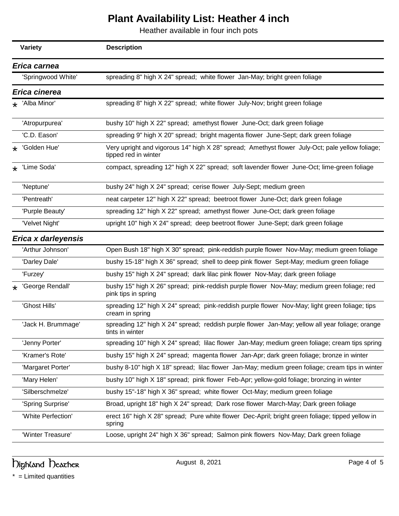Heather available in four inch pots

|         | <b>Variety</b>      | <b>Description</b>                                                                                                      |
|---------|---------------------|-------------------------------------------------------------------------------------------------------------------------|
|         | Erica carnea        |                                                                                                                         |
|         | 'Springwood White'  | spreading 8" high X 24" spread; white flower Jan-May; bright green foliage                                              |
|         | Erica cinerea       |                                                                                                                         |
|         | * 'Alba Minor'      | spreading 8" high X 22" spread; white flower July-Nov; bright green foliage                                             |
|         | 'Atropurpurea'      | bushy 10" high X 22" spread; amethyst flower June-Oct; dark green foliage                                               |
|         | 'C.D. Eason'        | spreading 9" high X 20" spread; bright magenta flower June-Sept; dark green foliage                                     |
| $\star$ | 'Golden Hue'        | Very upright and vigorous 14" high X 28" spread; Amethyst flower July-Oct; pale yellow foliage;<br>tipped red in winter |
| $\star$ | 'Lime Soda'         | compact, spreading 12" high X 22" spread; soft lavender flower June-Oct; lime-green foliage                             |
|         | 'Neptune'           | bushy 24" high X 24" spread; cerise flower July-Sept; medium green                                                      |
|         | 'Pentreath'         | neat carpeter 12" high X 22" spread; beetroot flower June-Oct; dark green foliage                                       |
|         | 'Purple Beauty'     | spreading 12" high X 22" spread; amethyst flower June-Oct; dark green foliage                                           |
|         | 'Velvet Night'      | upright 10" high X 24" spread; deep beetroot flower June-Sept; dark green foliage                                       |
|         | Erica x darleyensis |                                                                                                                         |
|         | 'Arthur Johnson'    | Open Bush 18" high X 30" spread; pink-reddish purple flower Nov-May; medium green foliage                               |
|         | 'Darley Dale'       | bushy 15-18" high X 36" spread; shell to deep pink flower Sept-May; medium green foliage                                |
|         | 'Furzey'            | bushy 15" high X 24" spread; dark lilac pink flower Nov-May; dark green foliage                                         |
|         | 'George Rendall'    | bushy 15" high X 26" spread; pink-reddish purple flower Nov-May; medium green foliage; red<br>pink tips in spring       |
|         | 'Ghost Hills'       | spreading 12" high X 24" spread; pink-reddish purple flower Nov-May; light green foliage; tips<br>cream in spring       |
|         | 'Jack H. Brummage'  | spreading 12" high X 24" spread; reddish purple flower Jan-May; yellow all year foliage; orange<br>tints in winter      |
|         | 'Jenny Porter'      | spreading 10" high X 24" spread; lilac flower Jan-May; medium green foliage; cream tips spring                          |
|         | 'Kramer's Rote'     | bushy 15" high X 24" spread; magenta flower Jan-Apr; dark green foliage; bronze in winter                               |
|         | 'Margaret Porter'   | bushy 8-10" high X 18" spread; lilac flower Jan-May; medium green foliage; cream tips in winter                         |
|         | 'Mary Helen'        | bushy 10" high X 18" spread; pink flower Feb-Apr; yellow-gold foliage; bronzing in winter                               |
|         | 'Silberschmelze'    | bushy 15"-18" high X 36" spread; white flower Oct-May; medium green foliage                                             |
|         | 'Spring Surprise'   | Broad, upright 18" high X 24" spread; Dark rose flower March-May; Dark green foliage                                    |
|         | 'White Perfection'  | erect 16" high X 28" spread; Pure white flower Dec-April; bright green foliage; tipped yellow in<br>spring              |
|         | 'Winter Treasure'   | Loose, upright 24" high X 36" spread; Salmon pink flowers Nov-May; Dark green foliage                                   |